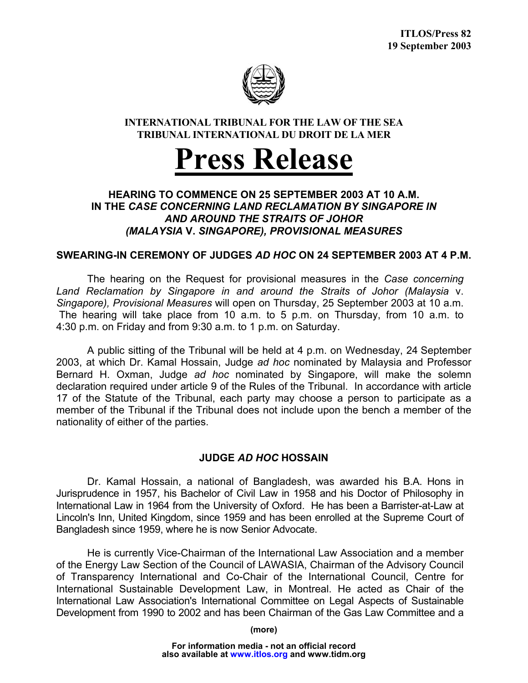

### **INTERNATIONAL TRIBUNAL FOR THE LAW OF THE SEA TRIBUNAL INTERNATIONAL DU DROIT DE LA MER**

# **Press Release**

## **HEARING TO COMMENCE ON 25 SEPTEMBER 2003 AT 10 A.M. IN THE** *CASE CONCERNING LAND RECLAMATION BY SINGAPORE IN AND AROUND THE STRAITS OF JOHOR (MALAYSIA* **V.** *SINGAPORE), PROVISIONAL MEASURES*

#### **SWEARING-IN CEREMONY OF JUDGES** *AD HOC* **ON 24 SEPTEMBER 2003 AT 4 P.M.**

 The hearing on the Request for provisional measures in the *Case concerning Land Reclamation by Singapore in and around the Straits of Johor (Malaysia* v. *Singapore), Provisional Measures* will open on Thursday, 25 September 2003 at 10 a.m. The hearing will take place from 10 a.m. to 5 p.m. on Thursday, from 10 a.m. to 4:30 p.m. on Friday and from 9:30 a.m. to 1 p.m. on Saturday.

A public sitting of the Tribunal will be held at 4 p.m. on Wednesday, 24 September 2003, at which Dr. Kamal Hossain, Judge *ad hoc* nominated by Malaysia and Professor Bernard H. Oxman, Judge *ad hoc* nominated by Singapore, will make the solemn declaration required under article 9 of the Rules of the Tribunal. In accordance with article 17 of the Statute of the Tribunal, each party may choose a person to participate as a member of the Tribunal if the Tribunal does not include upon the bench a member of the nationality of either of the parties.

#### **JUDGE** *AD HOC* **HOSSAIN**

 Dr. Kamal Hossain, a national of Bangladesh, was awarded his B.A. Hons in Jurisprudence in 1957, his Bachelor of Civil Law in 1958 and his Doctor of Philosophy in International Law in 1964 from the University of Oxford. He has been a Barrister-at-Law at Lincoln's Inn, United Kingdom, since 1959 and has been enrolled at the Supreme Court of Bangladesh since 1959, where he is now Senior Advocate.

 He is currently Vice-Chairman of the International Law Association and a member of the Energy Law Section of the Council of LAWASIA, Chairman of the Advisory Council of Transparency International and Co-Chair of the International Council, Centre for International Sustainable Development Law, in Montreal. He acted as Chair of the International Law Association's International Committee on Legal Aspects of Sustainable Development from 1990 to 2002 and has been Chairman of the Gas Law Committee and a

**(more)**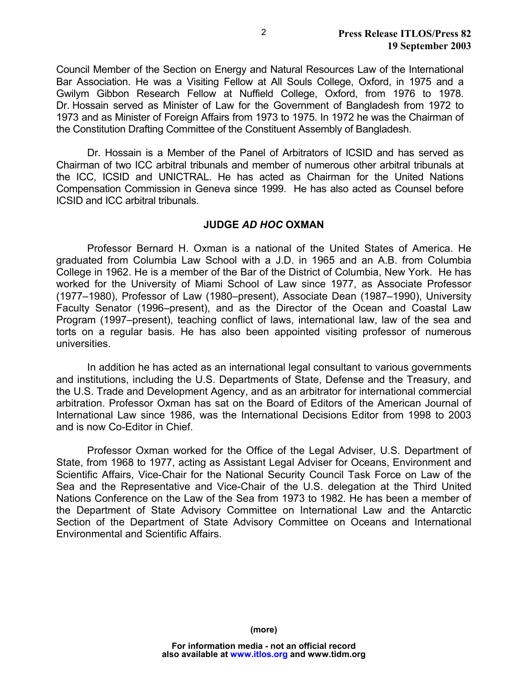Council Member of the Section on Energy and Natural Resources Law of the International Bar Association. He was a Visiting Fellow at All Souls College, Oxford, in 1975 and a Gwilym Gibbon Research Fellow at Nuffield College, Oxford, from 1976 to 1978. Dr. Hossain served as Minister of Law for the Government of Bangladesh from 1972 to 1973 and as Minister of Foreign Affairs from 1973 to 1975. In 1972 he was the Chairman of the Constitution Drafting Committee of the Constituent Assembly of Bangladesh.

 Dr. Hossain is a Member of the Panel of Arbitrators of ICSID and has served as Chairman of two ICC arbitral tribunals and member of numerous other arbitral tribunals at the ICC, ICSID and UNICTRAL. He has acted as Chairman for the United Nations Compensation Commission in Geneva since 1999. He has also acted as Counsel before ICSID and ICC arbitral tribunals.

#### **JUDGE** *AD HOC* **OXMAN**

 Professor Bernard H. Oxman is a national of the United States of America. He graduated from Columbia Law School with a J.D. in 1965 and an A.B. from Columbia College in 1962. He is a member of the Bar of the District of Columbia, New York. He has worked for the University of Miami School of Law since 1977, as Associate Professor (1977–1980), Professor of Law (1980–present), Associate Dean (1987–1990), University Faculty Senator (1996–present), and as the Director of the Ocean and Coastal Law Program (1997–present), teaching conflict of laws, international law, law of the sea and torts on a regular basis. He has also been appointed visiting professor of numerous universities.

In addition he has acted as an international legal consultant to various governments and institutions, including the U.S. Departments of State, Defense and the Treasury, and the U.S. Trade and Development Agency, and as an arbitrator for international commercial arbitration. Professor Oxman has sat on the Board of Editors of the American Journal of International Law since 1986, was the International Decisions Editor from 1998 to 2003 and is now Co-Editor in Chief.

Professor Oxman worked for the Office of the Legal Adviser, U.S. Department of State, from 1968 to 1977, acting as Assistant Legal Adviser for Oceans, Environment and Scientific Affairs, Vice-Chair for the National Security Council Task Force on Law of the Sea and the Representative and Vice-Chair of the U.S. delegation at the Third United Nations Conference on the Law of the Sea from 1973 to 1982. He has been a member of the Department of State Advisory Committee on International Law and the Antarctic Section of the Department of State Advisory Committee on Oceans and International Environmental and Scientific Affairs.